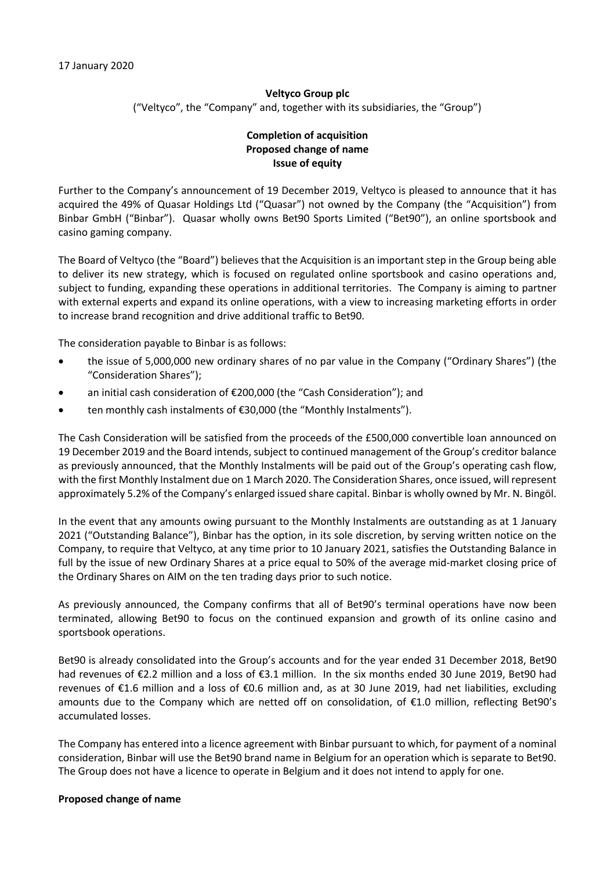# **Veltyco Group plc** ("Veltyco", the "Company" and, together with its subsidiaries, the "Group")

## **Completion of acquisition Proposed change of name Issue of equity**

Further to the Company's announcement of 19 December 2019, Veltyco is pleased to announce that it has acquired the 49% of Quasar Holdings Ltd ("Quasar") not owned by the Company (the "Acquisition") from Binbar GmbH ("Binbar"). Quasar wholly owns Bet90 Sports Limited ("Bet90"), an online sportsbook and casino gaming company.

The Board of Veltyco (the "Board") believes that the Acquisition is an important step in the Group being able to deliver its new strategy, which is focused on regulated online sportsbook and casino operations and, subject to funding, expanding these operations in additional territories. The Company is aiming to partner with external experts and expand its online operations, with a view to increasing marketing efforts in order to increase brand recognition and drive additional traffic to Bet90.

The consideration payable to Binbar is as follows:

- the issue of 5,000,000 new ordinary shares of no par value in the Company ("Ordinary Shares") (the "Consideration Shares");
- an initial cash consideration of €200,000 (the "Cash Consideration"); and
- ten monthly cash instalments of €30,000 (the "Monthly Instalments").

The Cash Consideration will be satisfied from the proceeds of the £500,000 convertible loan announced on 19 December 2019 and the Board intends, subject to continued management of the Group's creditor balance as previously announced, that the Monthly Instalments will be paid out of the Group's operating cash flow, with the first Monthly Instalment due on 1 March 2020. The Consideration Shares, once issued, will represent approximately 5.2% of the Company's enlarged issued share capital. Binbar is wholly owned by Mr. N. Bingöl.

In the event that any amounts owing pursuant to the Monthly Instalments are outstanding as at 1 January 2021 ("Outstanding Balance"), Binbar has the option, in its sole discretion, by serving written notice on the Company, to require that Veltyco, at any time prior to 10 January 2021, satisfies the Outstanding Balance in full by the issue of new Ordinary Shares at a price equal to 50% of the average mid-market closing price of the Ordinary Shares on AIM on the ten trading days prior to such notice.

As previously announced, the Company confirms that all of Bet90's terminal operations have now been terminated, allowing Bet90 to focus on the continued expansion and growth of its online casino and sportsbook operations.

Bet90 is already consolidated into the Group's accounts and for the year ended 31 December 2018, Bet90 had revenues of €2.2 million and a loss of €3.1 million. In the six months ended 30 June 2019, Bet90 had revenues of €1.6 million and a loss of €0.6 million and, as at 30 June 2019, had net liabilities, excluding amounts due to the Company which are netted off on consolidation, of €1.0 million, reflecting Bet90's accumulated losses.

The Company has entered into a licence agreement with Binbar pursuant to which, for payment of a nominal consideration, Binbar will use the Bet90 brand name in Belgium for an operation which is separate to Bet90. The Group does not have a licence to operate in Belgium and it does not intend to apply for one.

### **Proposed change of name**